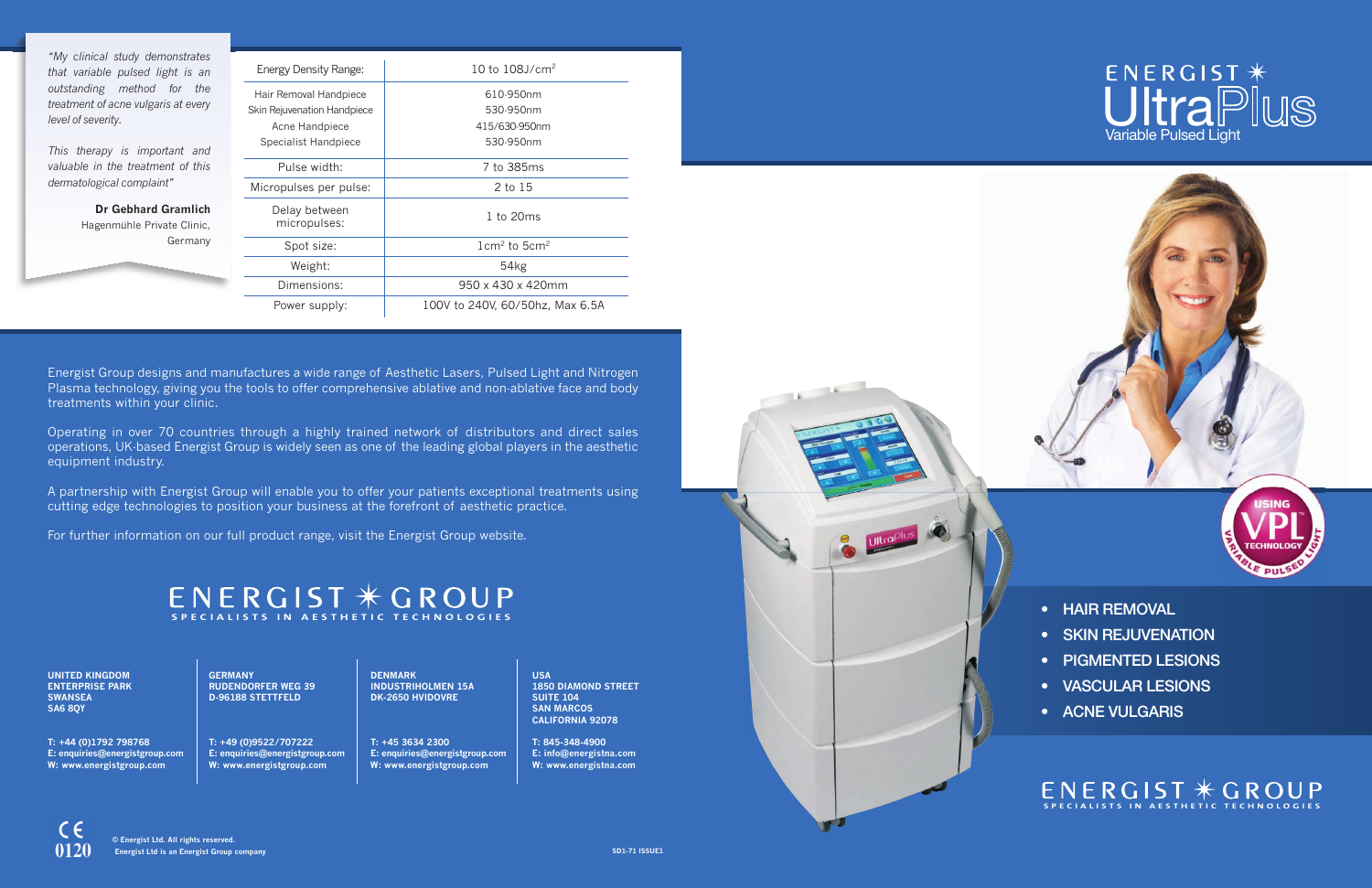**usA 1850 DIAMoND stREEt suItE 104 sAN MARcos cAlIfoRNIA 92078**

**t: 845-348-4900 E: info@energistna.com W: www.energistna.com**





**uNItED KINGDoM ENtERpRIsE pARK sWANsEA sA6 8QY**

**t: +44 (0)1792 798768 E: enquiries@energistgroup.com W: www.energistgroup.com**

### ENERGIST \* UltraPlus Variable Pulsed Light







**GERMANY RuDENDoRfER WEG 39 D-96188 stEttfElD**

**t: +49 (0)9522/707222 E: enquiries@energistgroup.com W: www.energistgroup.com**

**DENMARK INDustRIholMEN 15A DK-2650 hvIDovRE**

**t: +45 3634 2300 E: enquiries@energistgroup.com W: www.energistgroup.com**

*"My clinical study demonstrates that variable pulsed light is an outstanding method for the treatment of acne vulgaris at every level of severity.*

*This therapy is important and valuable in the treatment of this dermatological complaint"*

> **Dr Gebhard Gramlich** Hagenmühle Private Clinic, Germany

- **• HAIR REMOVAL**
- **• SKIN REJUVENATION**
- **• PIGMENTED LESIONS**
- **• VASCULAR LESIONS**
- **• ACNE VULGARIS**

### ENERGIST \* GROUP **SPECIALISTS IN AESTHETIC TECHNOLOGIES**

| Energy Density Range:              | 10 to $108$ J/cm <sup>2</sup>      |
|------------------------------------|------------------------------------|
| Hair Removal Handpiece             | 610-950nm                          |
| <b>Skin Rejuvenation Handpiece</b> | 530-950nm                          |
| Acne Handpiece                     | 415/630-950nm                      |
| Specialist Handpiece               | 530-950nm                          |
| Pulse width:                       | 7 to 385ms                         |
| Micropulses per pulse:             | 2 to 15                            |
| Delay between<br>micropulses:      | 1 to 20ms                          |
| Spot size:                         | $1 \text{cm}^2$ to $5 \text{cm}^2$ |
| Weight:                            | 54kg                               |
| Dimensions:                        | 950 x 430 x 420mm                  |
| Power supply:                      | 100V to 240V, 60/50hz, Max 6.5A    |

## **SPECIALISTS IN AESTHETIC TECHNOLOGIES**

Energist Group designs and manufactures a wide range of Aesthetic Lasers, Pulsed Light and Nitrogen Plasma technology, giving you the tools to offer comprehensive ablative and non-ablative face and body treatments within your clinic.

Operating in over 70 countries through a highly trained network of distributors and direct sales operations, UK-based Energist Group is widely seen as one of the leading global players in the aesthetic equipment industry.

A partnership with Energist Group will enable you to offer your patients exceptional treatments using cutting edge technologies to position your business at the forefront of aesthetic practice.

For further information on our full product range, visit the Energist Group website.